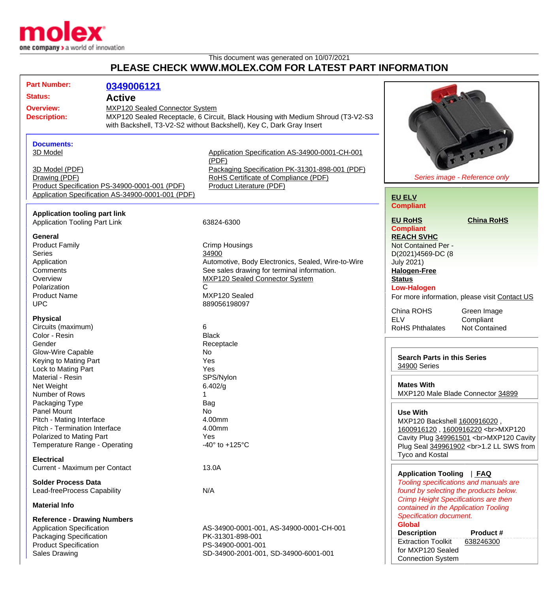

## This document was generated on 10/07/2021 **PLEASE CHECK WWW.MOLEX.COM FOR LATEST PART INFORMATION**

| <b>Part Number:</b>                                                                                                                                     | 0349006121                                                                                         |                                                                                                                                                                                                             |                                                                                                                                                                                                   |
|---------------------------------------------------------------------------------------------------------------------------------------------------------|----------------------------------------------------------------------------------------------------|-------------------------------------------------------------------------------------------------------------------------------------------------------------------------------------------------------------|---------------------------------------------------------------------------------------------------------------------------------------------------------------------------------------------------|
| <b>Status:</b>                                                                                                                                          | <b>Active</b>                                                                                      |                                                                                                                                                                                                             |                                                                                                                                                                                                   |
| MXP120 Sealed Connector System<br><b>Overview:</b><br><b>Description:</b>                                                                               |                                                                                                    | MXP120 Sealed Receptacle, 6 Circuit, Black Housing with Medium Shroud (T3-V2-S3<br>with Backshell, T3-V2-S2 without Backshell), Key C, Dark Gray Insert                                                     |                                                                                                                                                                                                   |
| <b>Documents:</b><br>3D Model<br>3D Model (PDF)<br>Drawing (PDF)                                                                                        | Product Specification PS-34900-0001-001 (PDF)<br>Application Specification AS-34900-0001-001 (PDF) | Application Specification AS-34900-0001-CH-001<br>(PDF)<br>Packaging Specification PK-31301-898-001 (PDF)<br>RoHS Certificate of Compliance (PDF)<br>Product Literature (PDF)                               | FITTT<br>Series image - Reference only<br><b>EU ELV</b>                                                                                                                                           |
| <b>Application tooling part link</b><br><b>Application Tooling Part Link</b>                                                                            |                                                                                                    | 63824-6300                                                                                                                                                                                                  | <b>Compliant</b><br><b>EU RoHS</b><br><b>China RoHS</b><br><b>Compliant</b>                                                                                                                       |
| General<br><b>Product Family</b><br><b>Series</b><br>Application<br>Comments<br>Overview<br>Polarization<br><b>Product Name</b><br><b>UPC</b>           |                                                                                                    | Crimp Housings<br>34900<br>Automotive, Body Electronics, Sealed, Wire-to-Wire<br>See sales drawing for terminal information.<br><b>MXP120 Sealed Connector System</b><br>С<br>MXP120 Sealed<br>889056198097 | <b>REACH SVHC</b><br>Not Contained Per -<br>D(2021)4569-DC (8<br><b>July 2021)</b><br><b>Halogen-Free</b><br><b>Status</b><br><b>Low-Halogen</b><br>For more information, please visit Contact US |
| <b>Physical</b><br>Circuits (maximum)<br>Color - Resin                                                                                                  |                                                                                                    | 6<br><b>Black</b>                                                                                                                                                                                           | China ROHS<br>Green Image<br><b>ELV</b><br>Compliant<br>Not Contained<br><b>RoHS Phthalates</b>                                                                                                   |
| Gender<br><b>Glow-Wire Capable</b><br>Keying to Mating Part<br>Lock to Mating Part                                                                      |                                                                                                    | Receptacle<br>No<br>Yes<br>Yes                                                                                                                                                                              | <b>Search Parts in this Series</b><br>34900 Series                                                                                                                                                |
| Material - Resin<br>Net Weight<br>Number of Rows                                                                                                        |                                                                                                    | SPS/Nylon<br>6.402/g                                                                                                                                                                                        | <b>Mates With</b><br>MXP120 Male Blade Connector 34899                                                                                                                                            |
| Packaging Type<br>Panel Mount<br>Pitch - Mating Interface<br>Pitch - Termination Interface<br>Polarized to Mating Part<br>Temperature Range - Operating |                                                                                                    | Bag<br>No<br>4.00mm<br>4.00mm<br><b>Yes</b><br>-40 $\degree$ to +125 $\degree$ C                                                                                                                            | <b>Use With</b><br>MXP120 Backshell 1600916020,<br>1600916120, 1600916220<br>MXP120<br>Cavity Plug 349961501<br>MXP120 Cavity<br>Plug Seal 349961902<br>1.2 LL SWS from<br><b>Tyco and Kostal</b> |
| <b>Electrical</b><br>Current - Maximum per Contact                                                                                                      |                                                                                                    | 13.0A                                                                                                                                                                                                       | <b>Application Tooling</b><br>  FAQ                                                                                                                                                               |
| <b>Solder Process Data</b><br>Lead-freeProcess Capability<br><b>Material Info</b>                                                                       |                                                                                                    | N/A                                                                                                                                                                                                         | Tooling specifications and manuals are<br>found by selecting the products below.<br><b>Crimp Height Specifications are then</b><br>contained in the Application Tooling                           |
| <b>Reference - Drawing Numbers</b><br><b>Application Specification</b><br>Packaging Specification                                                       |                                                                                                    | AS-34900-0001-001, AS-34900-0001-CH-001<br>PK-31301-898-001                                                                                                                                                 | <b>Specification document.</b><br><b>Global</b><br><b>Description</b><br>Product #<br><b>Extraction Toolkit</b><br>638246300                                                                      |
| <b>Product Specification</b><br><b>Sales Drawing</b>                                                                                                    |                                                                                                    | PS-34900-0001-001<br>SD-34900-2001-001, SD-34900-6001-001                                                                                                                                                   | for MXP120 Sealed<br><b>Connection System</b>                                                                                                                                                     |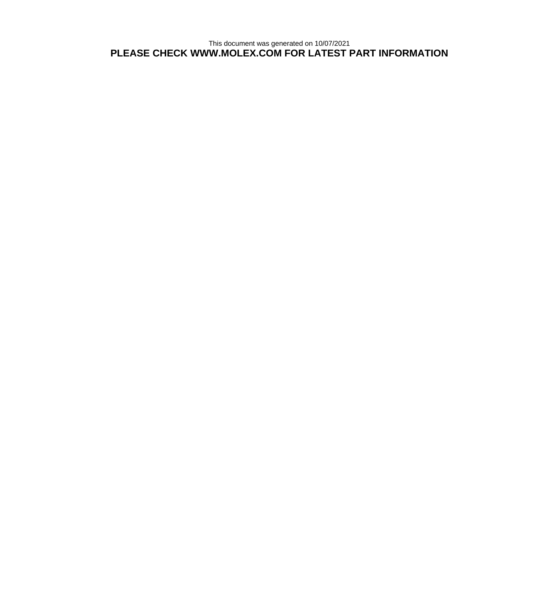This document was generated on 10/07/2021 **PLEASE CHECK WWW.MOLEX.COM FOR LATEST PART INFORMATION**